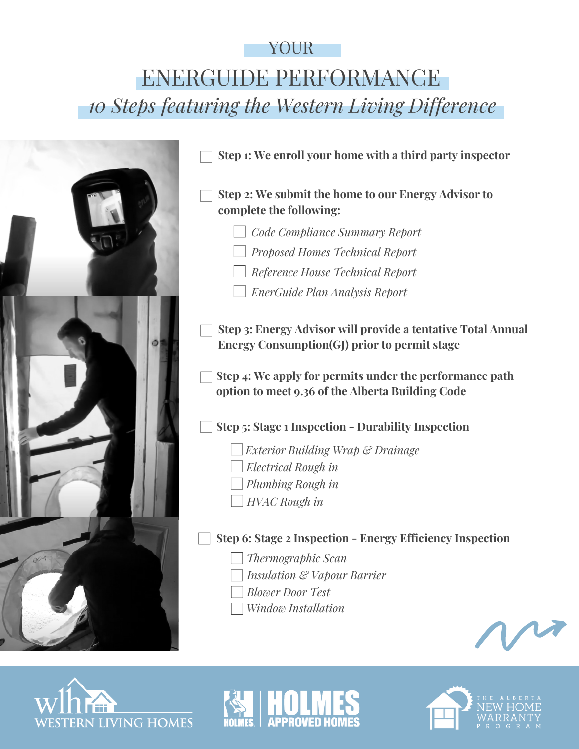## YOUR

## ENERGUIDE PERFORMANCE *10 Steps featuring the Western Living Difference*